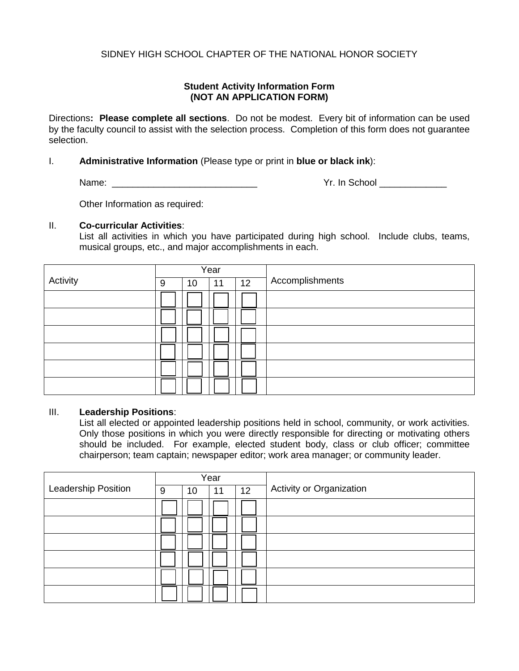## SIDNEY HIGH SCHOOL CHAPTER OF THE NATIONAL HONOR SOCIETY

## **Student Activity Information Form (NOT AN APPLICATION FORM)**

Directions**: Please complete all sections**. Do not be modest. Every bit of information can be used by the faculty council to assist with the selection process. Completion of this form does not guarantee selection.

### I. **Administrative Information** (Please type or print in **blue or black ink**):

Name:  $\blacksquare$ 

Other Information as required:

#### II. **Co-curricular Activities**:

List all activities in which you have participated during high school. Include clubs, teams, musical groups, etc., and major accomplishments in each.

|          |   |    | Year |    |                 |
|----------|---|----|------|----|-----------------|
| Activity | 9 | 10 | 11   | 12 | Accomplishments |
|          |   |    |      |    |                 |
|          |   |    |      |    |                 |
|          |   |    |      |    |                 |
|          |   |    |      |    |                 |
|          |   |    |      |    |                 |
|          |   |    |      |    |                 |

#### III. **Leadership Positions**:

List all elected or appointed leadership positions held in school, community, or work activities. Only those positions in which you were directly responsible for directing or motivating others should be included. For example, elected student body, class or club officer; committee chairperson; team captain; newspaper editor; work area manager; or community leader.

|                     |   |    | Year |    |                          |
|---------------------|---|----|------|----|--------------------------|
| Leadership Position | 9 | 10 | 11   | 12 | Activity or Organization |
|                     |   |    |      |    |                          |
|                     |   |    |      |    |                          |
|                     |   |    |      |    |                          |
|                     |   |    |      |    |                          |
|                     |   |    |      |    |                          |
|                     |   |    |      |    |                          |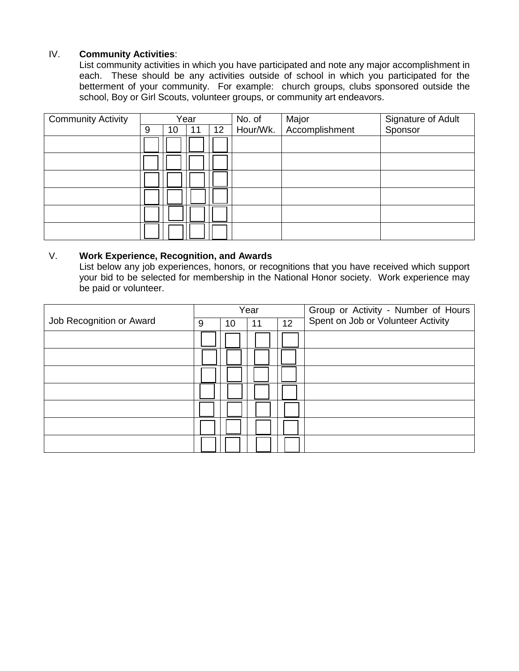## IV. **Community Activities**:

List community activities in which you have participated and note any major accomplishment in each. These should be any activities outside of school in which you participated for the betterment of your community. For example: church groups, clubs sponsored outside the school, Boy or Girl Scouts, volunteer groups, or community art endeavors.

| <b>Community Activity</b> | Year |    |    |                 | No. of   | Major          | Signature of Adult |  |  |
|---------------------------|------|----|----|-----------------|----------|----------------|--------------------|--|--|
|                           | 9    | 10 | 11 | 12 <sup>2</sup> | Hour/Wk. | Accomplishment | Sponsor            |  |  |
|                           |      |    |    |                 |          |                |                    |  |  |
|                           |      |    |    |                 |          |                |                    |  |  |
|                           |      |    |    |                 |          |                |                    |  |  |
|                           |      |    |    |                 |          |                |                    |  |  |
|                           |      |    |    |                 |          |                |                    |  |  |
|                           |      |    |    |                 |          |                |                    |  |  |

#### V. **Work Experience, Recognition, and Awards**

List below any job experiences, honors, or recognitions that you have received which support your bid to be selected for membership in the National Honor society. Work experience may be paid or volunteer.

|                          |   |    | Year |    | Group or Activity - Number of Hours |
|--------------------------|---|----|------|----|-------------------------------------|
| Job Recognition or Award | 9 | 10 | 11   | 12 | Spent on Job or Volunteer Activity  |
|                          |   |    |      |    |                                     |
|                          |   |    |      |    |                                     |
|                          |   |    |      |    |                                     |
|                          |   |    |      |    |                                     |
|                          |   |    |      |    |                                     |
|                          |   |    |      |    |                                     |
|                          |   |    |      |    |                                     |